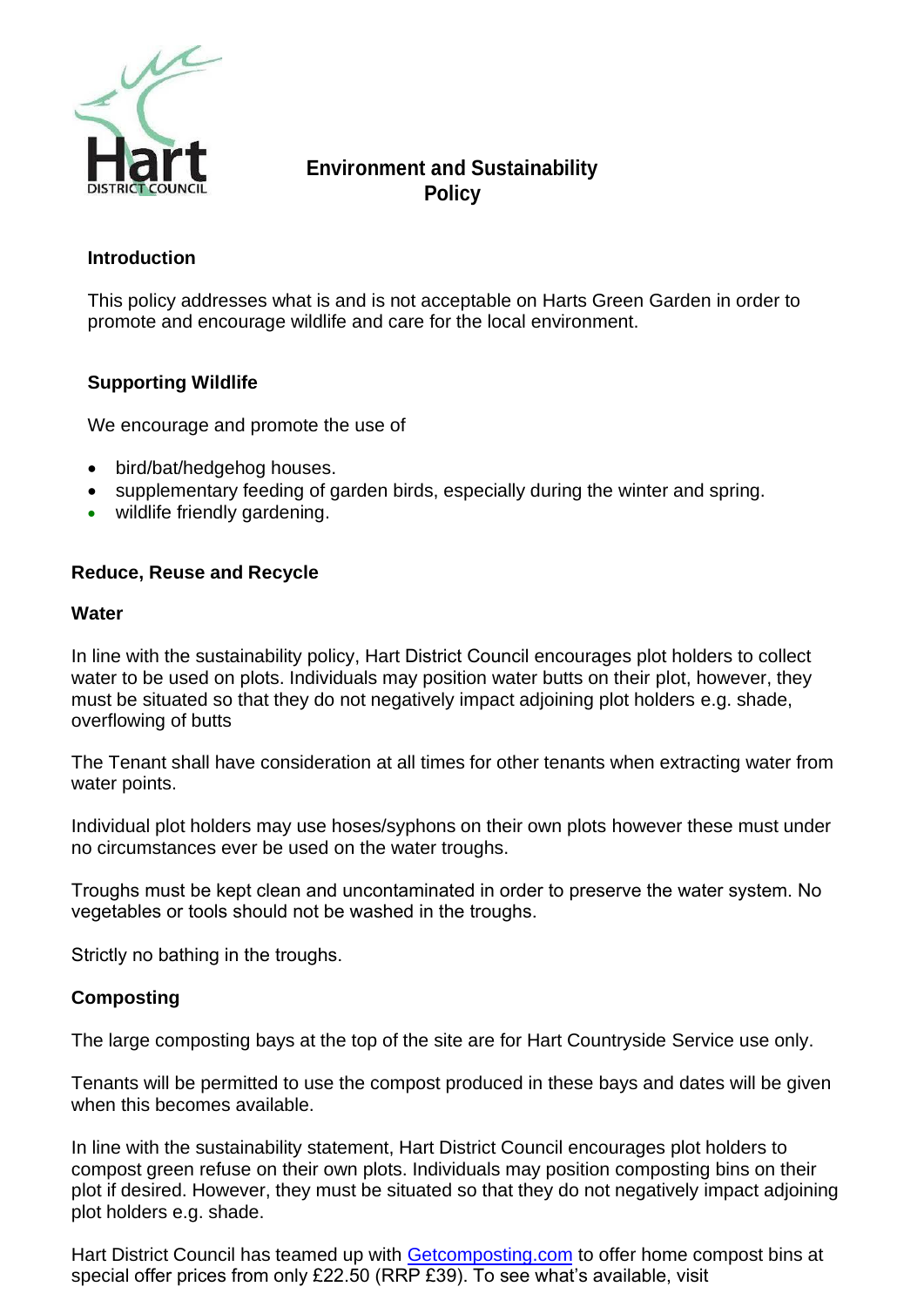

# **Environment and Sustainability Policy**

## **Introduction**

This policy addresses what is and is not acceptable on Harts Green Garden in order to promote and encourage wildlife and care for the local environment.

## **Supporting Wildlife**

We encourage and promote the use of

- bird/bat/hedgehog houses.
- supplementary feeding of garden birds, especially during the winter and spring.
- wildlife friendly gardening.

## **Reduce, Reuse and Recycle**

#### **Water**

In line with the sustainability policy, Hart District Council encourages plot holders to collect water to be used on plots. Individuals may position water butts on their plot, however, they must be situated so that they do not negatively impact adjoining plot holders e.g. shade, overflowing of butts

The Tenant shall have consideration at all times for other tenants when extracting water from water points.

Individual plot holders may use hoses/syphons on their own plots however these must under no circumstances ever be used on the water troughs.

Troughs must be kept clean and uncontaminated in order to preserve the water system. No vegetables or tools should not be washed in the troughs.

Strictly no bathing in the troughs.

### **Composting**

The large composting bays at the top of the site are for Hart Countryside Service use only.

Tenants will be permitted to use the compost produced in these bays and dates will be given when this becomes available.

In line with the sustainability statement, Hart District Council encourages plot holders to compost green refuse on their own plots. Individuals may position composting bins on their plot if desired. However, they must be situated so that they do not negatively impact adjoining plot holders e.g. shade.

Hart District Council has teamed up with [Getcomposting.com](https://eur02.safelinks.protection.outlook.com/?url=http%3A%2F%2Fwww.getcomposting.com%2F&data=04%7C01%7Ckaty.sherman%40hart.gov.uk%7C79ac2296033a4bfc0da008d97ea01b68%7C437487d01c5f47b6bd4ea482ae3b011e%7C0%7C0%7C637680048390458674%7CUnknown%7CTWFpbGZsb3d8eyJWIjoiMC4wLjAwMDAiLCJQIjoiV2luMzIiLCJBTiI6Ik1haWwiLCJXVCI6Mn0%3D%7C1000&sdata=xXPJqm43ar2qaRXoylWV8BhhlFxMLGXAD5cEjNiiGNE%3D&reserved=0) to offer home compost bins at special offer prices from only £22.50 (RRP £39). To see what's available, visit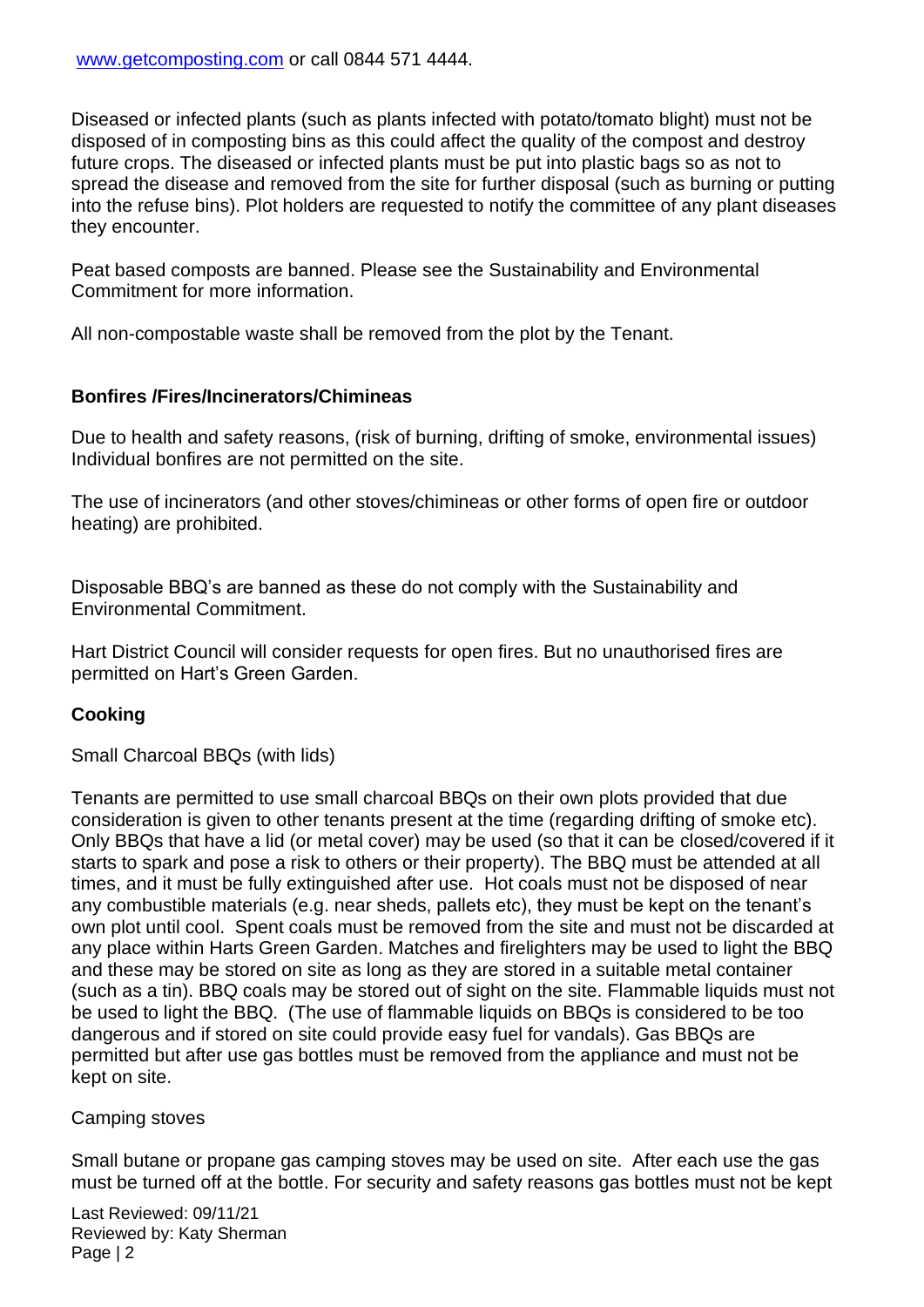Diseased or infected plants (such as plants infected with potato/tomato blight) must not be disposed of in composting bins as this could affect the quality of the compost and destroy future crops. The diseased or infected plants must be put into plastic bags so as not to spread the disease and removed from the site for further disposal (such as burning or putting into the refuse bins). Plot holders are requested to notify the committee of any plant diseases they encounter.

Peat based composts are banned. Please see the Sustainability and Environmental Commitment for more information.

All non-compostable waste shall be removed from the plot by the Tenant.

## **Bonfires /Fires/Incinerators/Chimineas**

Due to health and safety reasons, (risk of burning, drifting of smoke, environmental issues) Individual bonfires are not permitted on the site.

The use of incinerators (and other stoves/chimineas or other forms of open fire or outdoor heating) are prohibited.

Disposable BBQ's are banned as these do not comply with the Sustainability and Environmental Commitment.   

Hart District Council will consider requests for open fires. But no unauthorised fires are permitted on Hart's Green Garden.

## **Cooking**

Small Charcoal BBQs (with lids)

Tenants are permitted to use small charcoal BBQs on their own plots provided that due consideration is given to other tenants present at the time (regarding drifting of smoke etc). Only BBQs that have a lid (or metal cover) may be used (so that it can be closed/covered if it starts to spark and pose a risk to others or their property). The BBQ must be attended at all times, and it must be fully extinguished after use. Hot coals must not be disposed of near any combustible materials (e.g. near sheds, pallets etc), they must be kept on the tenant's own plot until cool. Spent coals must be removed from the site and must not be discarded at any place within Harts Green Garden. Matches and firelighters may be used to light the BBQ and these may be stored on site as long as they are stored in a suitable metal container (such as a tin). BBQ coals may be stored out of sight on the site. Flammable liquids must not be used to light the BBQ. (The use of flammable liquids on BBQs is considered to be too dangerous and if stored on site could provide easy fuel for vandals). Gas BBQs are permitted but after use gas bottles must be removed from the appliance and must not be kept on site.

### Camping stoves

Small butane or propane gas camping stoves may be used on site. After each use the gas must be turned off at the bottle. For security and safety reasons gas bottles must not be kept

Last Reviewed: 09/11/21 Reviewed by: Katy Sherman Page | 2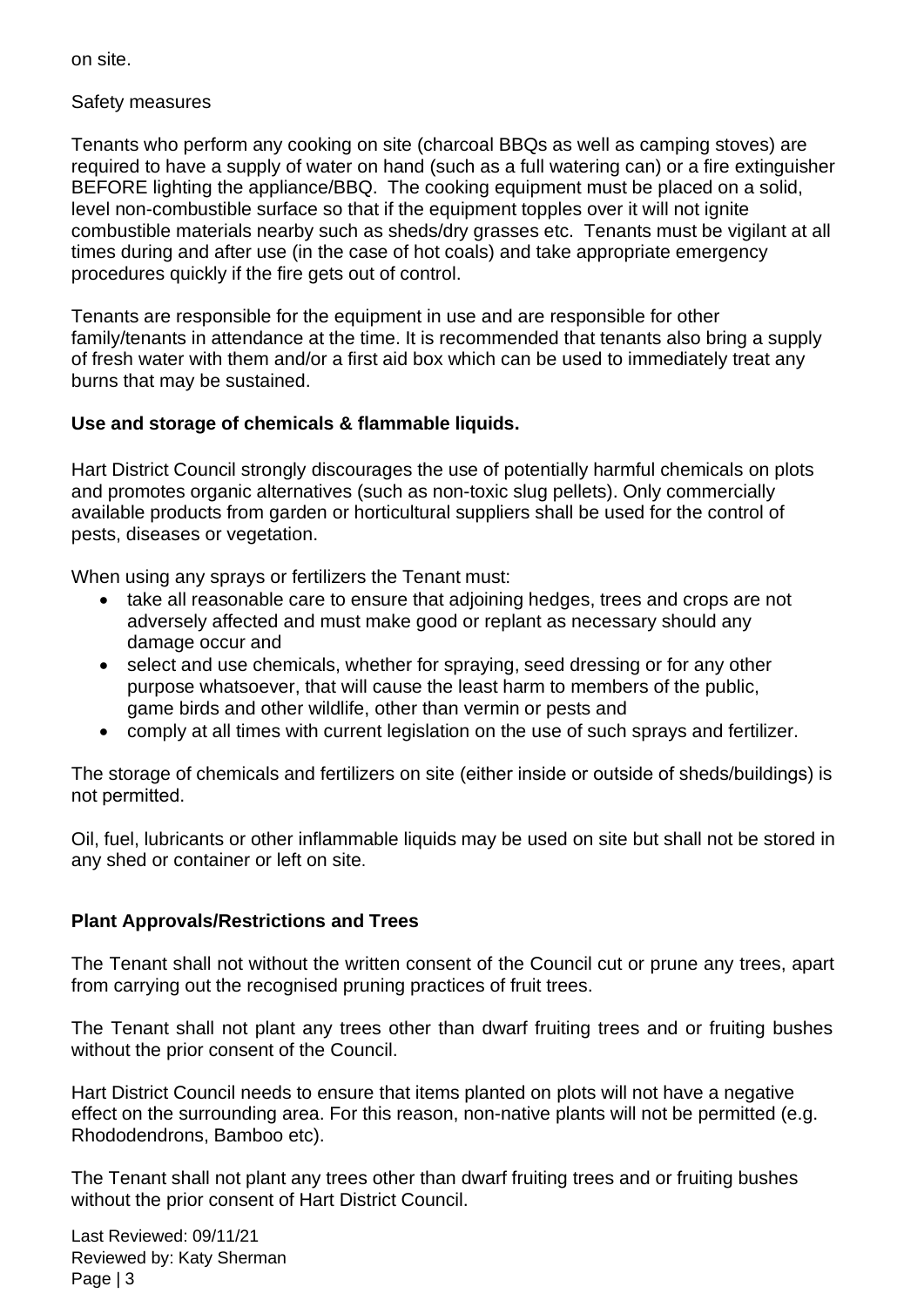on site.

## Safety measures

Tenants who perform any cooking on site (charcoal BBQs as well as camping stoves) are required to have a supply of water on hand (such as a full watering can) or a fire extinguisher BEFORE lighting the appliance/BBQ. The cooking equipment must be placed on a solid, level non-combustible surface so that if the equipment topples over it will not ignite combustible materials nearby such as sheds/dry grasses etc. Tenants must be vigilant at all times during and after use (in the case of hot coals) and take appropriate emergency procedures quickly if the fire gets out of control.

Tenants are responsible for the equipment in use and are responsible for other family/tenants in attendance at the time. It is recommended that tenants also bring a supply of fresh water with them and/or a first aid box which can be used to immediately treat any burns that may be sustained.

## **Use and storage of chemicals & flammable liquids.**

Hart District Council strongly discourages the use of potentially harmful chemicals on plots and promotes organic alternatives (such as non-toxic slug pellets). Only commercially available products from garden or horticultural suppliers shall be used for the control of pests, diseases or vegetation.

When using any sprays or fertilizers the Tenant must:

- take all reasonable care to ensure that adjoining hedges, trees and crops are not adversely affected and must make good or replant as necessary should any damage occur and
- select and use chemicals, whether for spraying, seed dressing or for any other purpose whatsoever, that will cause the least harm to members of the public, game birds and other wildlife, other than vermin or pests and
- comply at all times with current legislation on the use of such sprays and fertilizer.

The storage of chemicals and fertilizers on site (either inside or outside of sheds/buildings) is not permitted.

Oil, fuel, lubricants or other inflammable liquids may be used on site but shall not be stored in any shed or container or left on site.

### **Plant Approvals/Restrictions and Trees**

The Tenant shall not without the written consent of the Council cut or prune any trees, apart from carrying out the recognised pruning practices of fruit trees.

The Tenant shall not plant any trees other than dwarf fruiting trees and or fruiting bushes without the prior consent of the Council.

Hart District Council needs to ensure that items planted on plots will not have a negative effect on the surrounding area. For this reason, non-native plants will not be permitted (e.g. Rhododendrons, Bamboo etc).

The Tenant shall not plant any trees other than dwarf fruiting trees and or fruiting bushes without the prior consent of Hart District Council.

Last Reviewed: 09/11/21 Reviewed by: Katy Sherman Page | 3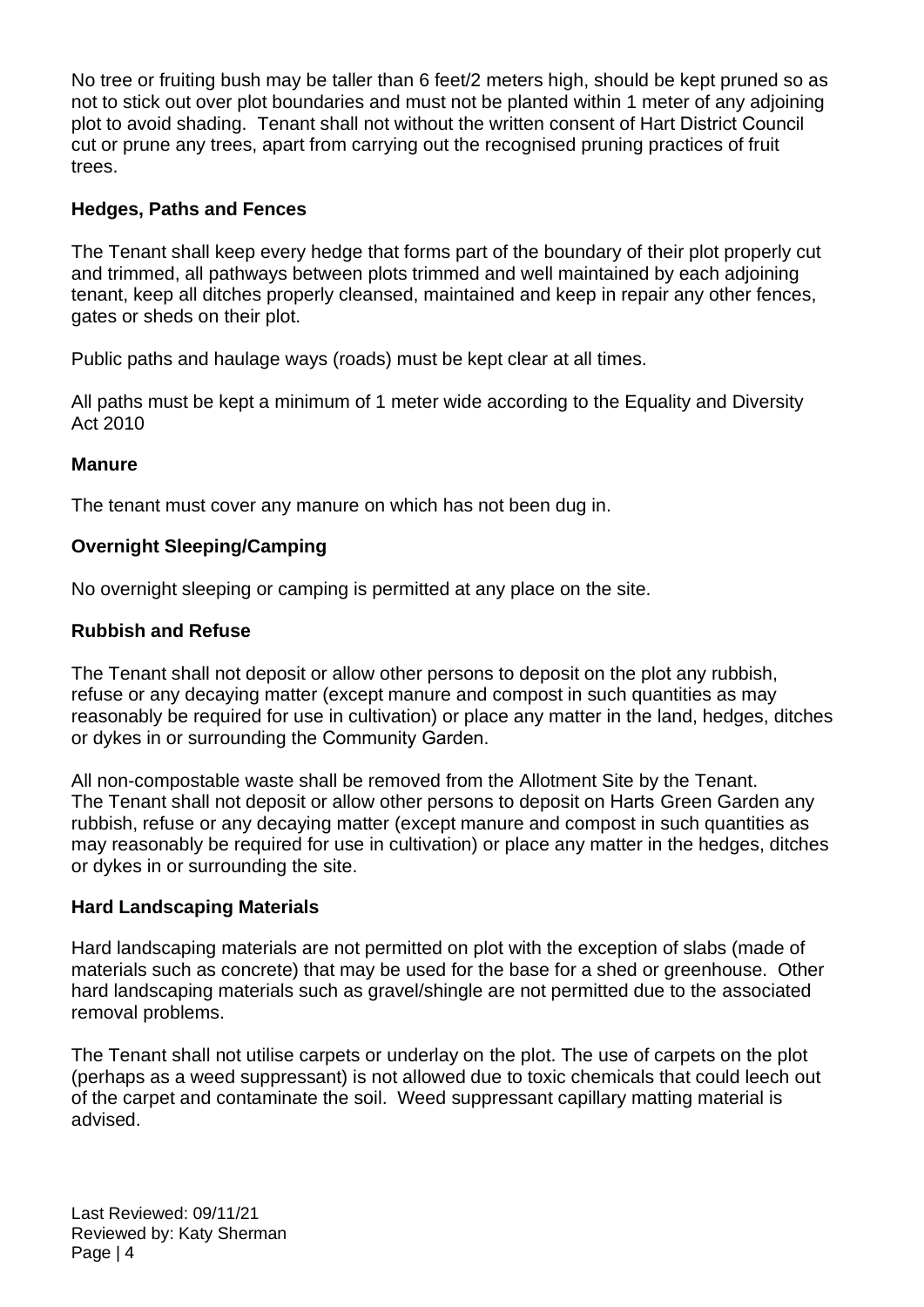No tree or fruiting bush may be taller than 6 feet/2 meters high, should be kept pruned so as not to stick out over plot boundaries and must not be planted within 1 meter of any adjoining plot to avoid shading. Tenant shall not without the written consent of Hart District Council cut or prune any trees, apart from carrying out the recognised pruning practices of fruit trees.

## **Hedges, Paths and Fences**

The Tenant shall keep every hedge that forms part of the boundary of their plot properly cut and trimmed, all pathways between plots trimmed and well maintained by each adjoining tenant, keep all ditches properly cleansed, maintained and keep in repair any other fences, gates or sheds on their plot.

Public paths and haulage ways (roads) must be kept clear at all times.

All paths must be kept a minimum of 1 meter wide according to the Equality and Diversity Act 2010

### **Manure**

The tenant must cover any manure on which has not been dug in.

### **Overnight Sleeping/Camping**

No overnight sleeping or camping is permitted at any place on the site.

#### **Rubbish and Refuse**

The Tenant shall not deposit or allow other persons to deposit on the plot any rubbish, refuse or any decaying matter (except manure and compost in such quantities as may reasonably be required for use in cultivation) or place any matter in the land, hedges, ditches or dykes in or surrounding the Community Garden.

All non-compostable waste shall be removed from the Allotment Site by the Tenant. The Tenant shall not deposit or allow other persons to deposit on Harts Green Garden any rubbish, refuse or any decaying matter (except manure and compost in such quantities as may reasonably be required for use in cultivation) or place any matter in the hedges, ditches or dykes in or surrounding the site.

#### **Hard Landscaping Materials**

Hard landscaping materials are not permitted on plot with the exception of slabs (made of materials such as concrete) that may be used for the base for a shed or greenhouse. Other hard landscaping materials such as gravel/shingle are not permitted due to the associated removal problems.

The Tenant shall not utilise carpets or underlay on the plot. The use of carpets on the plot (perhaps as a weed suppressant) is not allowed due to toxic chemicals that could leech out of the carpet and contaminate the soil. Weed suppressant capillary matting material is advised.

Last Reviewed: 09/11/21 Reviewed by: Katy Sherman Page | 4